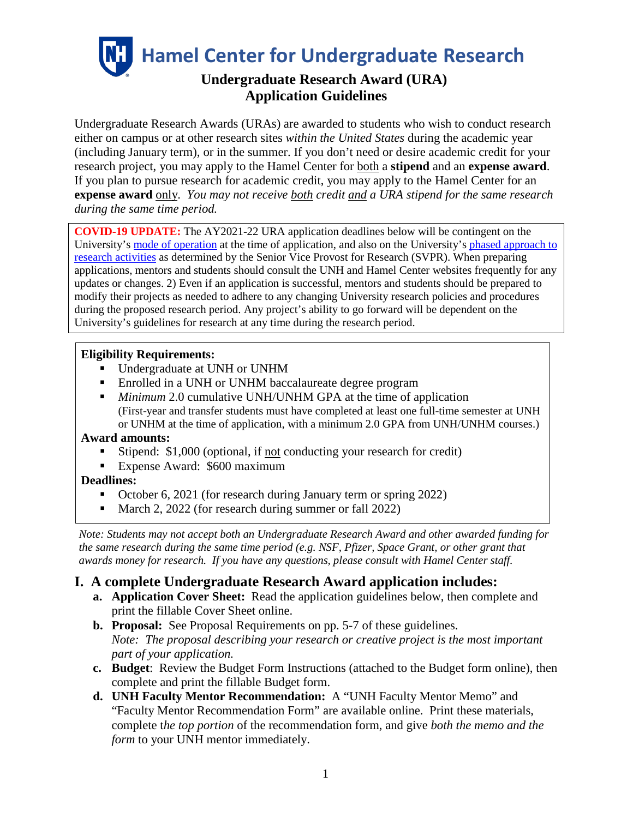**Hamel Center for Undergraduate Research**

# **Undergraduate Research Award (URA) Application Guidelines**

Undergraduate Research Awards (URAs) are awarded to students who wish to conduct research either on campus or at other research sites *within the United States* during the academic year (including January term), or in the summer. If you don't need or desire academic credit for your research project, you may apply to the Hamel Center for both a **stipend** and an **expense award**. If you plan to pursue research for academic credit, you may apply to the Hamel Center for an **expense award** only. *You may not receive both credit and a URA stipend for the same research during the same time period.*

**COVID-19 UPDATE:** The AY2021-22 URA application deadlines below will be contingent on the University's [mode of operation](https://www.unh.edu/coronavirus) at the time of application, and also on the University's phased approach to [research activities](https://www.unh.edu/research/research/covid-19-updates-resources) as determined by the Senior Vice Provost for Research (SVPR). When preparing applications, mentors and students should consult the UNH and Hamel Center websites frequently for any updates or changes. 2) Even if an application is successful, mentors and students should be prepared to modify their projects as needed to adhere to any changing University research policies and procedures during the proposed research period. Any project's ability to go forward will be dependent on the University's guidelines for research at any time during the research period.

### **Eligibility Requirements:**

- Undergraduate at UNH or UNHM
- Enrolled in a UNH or UNHM baccalaureate degree program
- *Minimum* 2.0 cumulative UNH/UNHM GPA at the time of application (First-year and transfer students must have completed at least one full-time semester at UNH or UNHM at the time of application, with a minimum 2.0 GPA from UNH/UNHM courses.)

#### **Award amounts:**

- Stipend: \$1,000 (optional, if not conducting your research for credit)
- Expense Award: \$600 maximum

#### **Deadlines:**

- October 6, 2021 (for research during January term or spring 2022)
- March 2, 2022 (for research during summer or fall 2022)

*Note: Students may not accept both an Undergraduate Research Award and other awarded funding for the same research during the same time period (e.g. NSF, Pfizer, Space Grant, or other grant that awards money for research. If you have any questions, please consult with Hamel Center staff.*

# **I. A complete Undergraduate Research Award application includes:**

- **a. Application Cover Sheet:** Read the application guidelines below, then complete and print the fillable Cover Sheet online.
- **b. Proposal:** See Proposal Requirements on pp. 5-7 of these guidelines. *Note: The proposal describing your research or creative project is the most important part of your application.*
- **c. Budget**: Review the Budget Form Instructions (attached to the Budget form online), then complete and print the fillable Budget form.
- **d. UNH Faculty Mentor Recommendation:** A "UNH Faculty Mentor Memo" and "Faculty Mentor Recommendation Form" are available online. Print these materials, complete t*he top portion* of the recommendation form, and give *both the memo and the form* to your UNH mentor immediately.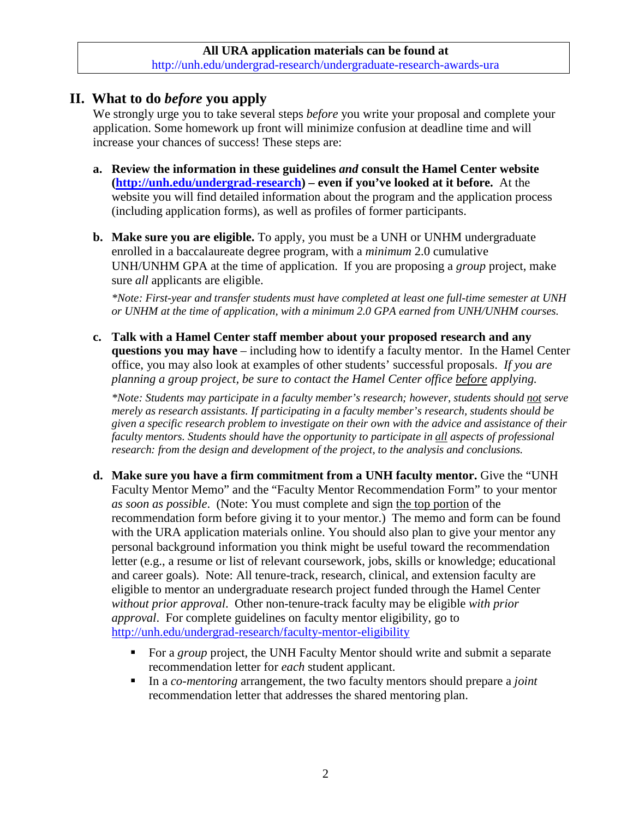## **II. What to do** *before* **you apply**

We strongly urge you to take several steps *before* you write your proposal and complete your application. Some homework up front will minimize confusion at deadline time and will increase your chances of success! These steps are:

- **a. Review the information in these guidelines** *and* **consult the Hamel Center website [\(http://unh.edu/undergrad-research\)](http://unh.edu/undergrad-research) – even if you've looked at it before.** At the website you will find detailed information about the program and the application process (including application forms), as well as profiles of former participants.
- **b. Make sure you are eligible.** To apply, you must be a UNH or UNHM undergraduate enrolled in a baccalaureate degree program, with a *minimum* 2.0 cumulative UNH/UNHM GPA at the time of application. If you are proposing a *group* project, make sure *all* applicants are eligible.

*\*Note: First-year and transfer students must have completed at least one full-time semester at UNH or UNHM at the time of application, with a minimum 2.0 GPA earned from UNH/UNHM courses.*

**c. Talk with a Hamel Center staff member about your proposed research and any questions you may have** – including how to identify a faculty mentor. In the Hamel Center office, you may also look at examples of other students' successful proposals. *If you are planning a group project, be sure to contact the Hamel Center office before applying.*

*\*Note: Students may participate in a faculty member's research; however, students should not serve merely as research assistants. If participating in a faculty member's research, students should be given a specific research problem to investigate on their own with the advice and assistance of their faculty mentors. Students should have the opportunity to participate in all aspects of professional research: from the design and development of the project, to the analysis and conclusions.*

- **d. Make sure you have a firm commitment from a UNH faculty mentor.** Give the "UNH Faculty Mentor Memo" and the "Faculty Mentor Recommendation Form" to your mentor *as soon as possible*. (Note: You must complete and sign the top portion of the recommendation form before giving it to your mentor.) The memo and form can be found with the URA application materials online. You should also plan to give your mentor any personal background information you think might be useful toward the recommendation letter (e.g., a resume or list of relevant coursework, jobs, skills or knowledge; educational and career goals). Note: All tenure-track, research, clinical, and extension faculty are eligible to mentor an undergraduate research project funded through the Hamel Center *without prior approval*. Other non-tenure-track faculty may be eligible *with prior approval*. For complete guidelines on faculty mentor eligibility, go to <http://unh.edu/undergrad-research/faculty-mentor-eligibility>
	- For a *group* project, the UNH Faculty Mentor should write and submit a separate recommendation letter for *each* student applicant.
	- In a *co-mentoring* arrangement, the two faculty mentors should prepare a *joint* recommendation letter that addresses the shared mentoring plan.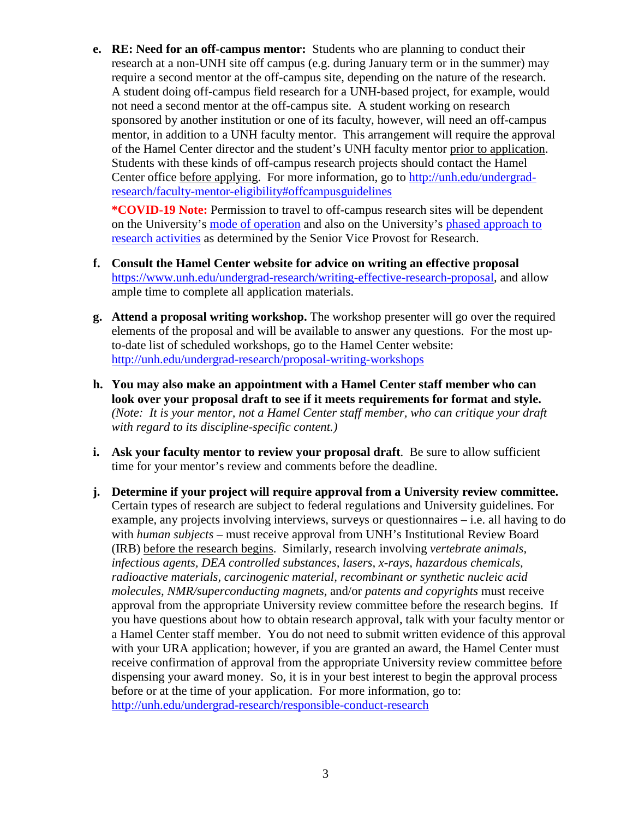**e. RE: Need for an off-campus mentor:** Students who are planning to conduct their research at a non-UNH site off campus (e.g. during January term or in the summer) may require a second mentor at the off-campus site, depending on the nature of the research. A student doing off-campus field research for a UNH-based project, for example, would not need a second mentor at the off-campus site. A student working on research sponsored by another institution or one of its faculty, however, will need an off-campus mentor, in addition to a UNH faculty mentor. This arrangement will require the approval of the Hamel Center director and the student's UNH faculty mentor prior to application. Students with these kinds of off-campus research projects should contact the Hamel Center office before applying. For more information, go to [http://unh.edu/undergrad](http://unh.edu/undergrad-research/faculty-mentor-eligibility#offcampusguidelines)[research/faculty-mentor-eligibility#offcampusguidelines](http://unh.edu/undergrad-research/faculty-mentor-eligibility#offcampusguidelines) 

**\*COVID-19 Note:** Permission to travel to off-campus research sites will be dependent on the University's [mode of operation](https://www.unh.edu/coronavirus) and also on the University's [phased approach to](https://www.unh.edu/research/research/covid-19-updates-resources)  [research activities](https://www.unh.edu/research/research/covid-19-updates-resources) as determined by the Senior Vice Provost for Research.

- **f. Consult the Hamel Center website for advice on [writing an effective proposal](https://www.unh.edu/undergrad-research/writing-effective-international-proposal)** [https://www.unh.edu/undergrad-research/writing-effective-research-proposal,](https://www.unh.edu/undergrad-research/writing-effective-research-proposal) and allow ample time to complete all application materials.
- **g. Attend a proposal writing workshop.** The workshop presenter will go over the required elements of the proposal and will be available to answer any questions. For the most upto-date list of scheduled workshops, go to the Hamel Center website: <http://unh.edu/undergrad-research/proposal-writing-workshops>
- **h. You may also make an appointment with a Hamel Center staff member who can look over your proposal draft to see if it meets requirements for format and style.** *(Note: It is your mentor, not a Hamel Center staff member, who can critique your draft with regard to its discipline-specific content.)*
- **i.** Ask your faculty mentor to review your proposal draft. Be sure to allow sufficient time for your mentor's review and comments before the deadline.
- **j. Determine if your project will require approval from a University review committee.** Certain types of research are subject to federal regulations and University guidelines. For example, any projects involving interviews, surveys or questionnaires – i.e. all having to do with *human subjects* – must receive approval from UNH's Institutional Review Board (IRB) before the research begins. Similarly, research involving *vertebrate animals, infectious agents, DEA controlled substances, lasers, x-rays, hazardous chemicals, radioactive materials, carcinogenic material, recombinant or synthetic nucleic acid molecules, NMR/superconducting magnets,* and/or *patents and copyrights* must receive approval from the appropriate University review committee before the research begins. If you have questions about how to obtain research approval, talk with your faculty mentor or a Hamel Center staff member. You do not need to submit written evidence of this approval with your URA application; however, if you are granted an award, the Hamel Center must receive confirmation of approval from the appropriate University review committee before dispensing your award money. So, it is in your best interest to begin the approval process before or at the time of your application. For more information, go to: <http://unh.edu/undergrad-research/responsible-conduct-research>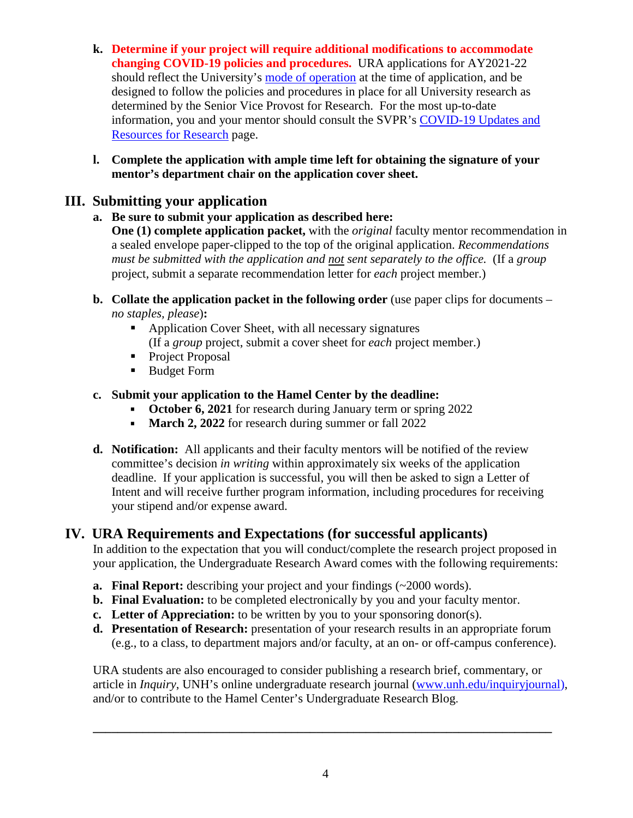- **k. Determine if your project will require additional modifications to accommodate changing COVID-19 policies and procedures.** URA applications for AY2021-22 should reflect the University's [mode of operation](https://www.unh.edu/coronavirus) at the time of application, and be designed to follow the policies and procedures in place for all University research as determined by the Senior Vice Provost for Research. For the most up-to-date information, you and your mentor should consult the SVPR's [COVID-19 Updates and](https://www.unh.edu/research/research/covid-19-updates-resources)  [Resources for Research](https://www.unh.edu/research/research/covid-19-updates-resources) page.
- **l. Complete the application with ample time left for obtaining the signature of your mentor's department chair on the application cover sheet.**

# **III. Submitting your application**

## **a. Be sure to submit your application as described here:**

**One (1) complete application packet,** with the *original* faculty mentor recommendation in a sealed envelope paper-clipped to the top of the original application. *Recommendations must be submitted with the application and not sent separately to the office.* (If a *group* project, submit a separate recommendation letter for *each* project member.)

- **b. Collate the application packet in the following order** (use paper clips for documents *no staples, please*)**:**
	- Application Cover Sheet, with all necessary signatures (If a *group* project, submit a cover sheet for *each* project member.)
	- Project Proposal
	- **Budget Form**
- **c. Submit your application to the Hamel Center by the deadline:** 
	- **October 6, 2021** for research during January term or spring 2022
	- **March 2, 2022** for research during summer or fall 2022
- **d. Notification:** All applicants and their faculty mentors will be notified of the review committee's decision *in writing* within approximately six weeks of the application deadline. If your application is successful, you will then be asked to sign a Letter of Intent and will receive further program information, including procedures for receiving your stipend and/or expense award.

# **IV. URA Requirements and Expectations (for successful applicants)**

In addition to the expectation that you will conduct/complete the research project proposed in your application, the Undergraduate Research Award comes with the following requirements:

- **a. Final Report:** describing your project and your findings (~2000 words).
- **b. Final Evaluation:** to be completed electronically by you and your faculty mentor.
- **c. Letter of Appreciation:** to be written by you to your sponsoring donor(s).
- **d. Presentation of Research:** presentation of your research results in an appropriate forum (e.g., to a class, to department majors and/or faculty, at an on- or off-campus conference).

URA students are also encouraged to consider publishing a research brief, commentary, or article in *Inquiry*, UNH's online undergraduate research journal [\(www.unh.edu/inquiryjournal\)](http://www.unh.edu/inquiryjournal), and/or to contribute to the Hamel Center's Undergraduate Research Blog.

**\_\_\_\_\_\_\_\_\_\_\_\_\_\_\_\_\_\_\_\_\_\_\_\_\_\_\_\_\_\_\_\_\_\_\_\_\_\_\_\_\_\_\_\_\_\_\_\_\_\_\_\_\_\_\_\_\_\_\_\_\_\_\_\_\_\_\_\_\_\_\_\_\_\_**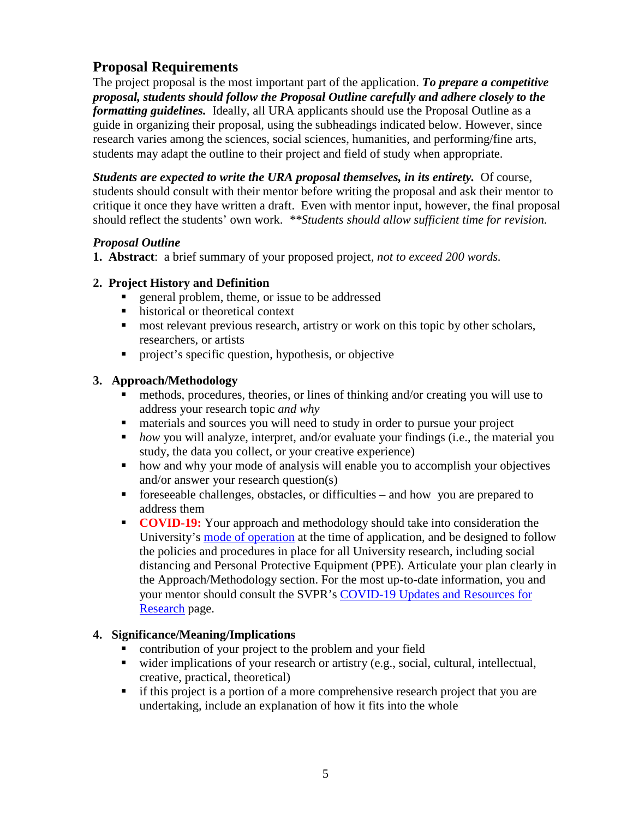# **Proposal Requirements**

The project proposal is the most important part of the application. *To prepare a competitive proposal, students should follow the Proposal Outline carefully and adhere closely to the formatting guidelines.* Ideally, all URA applicants should use the Proposal Outline as a guide in organizing their proposal, using the subheadings indicated below. However, since research varies among the sciences, social sciences, humanities, and performing/fine arts, students may adapt the outline to their project and field of study when appropriate.

*Students are expected to write the URA proposal themselves, in its entirety.* Of course, students should consult with their mentor before writing the proposal and ask their mentor to critique it once they have written a draft. Even with mentor input, however, the final proposal should reflect the students' own work. *\*\*Students should allow sufficient time for revision.*

### *Proposal Outline*

**1. Abstract**: a brief summary of your proposed project*, not to exceed 200 words.*

### **2. Project History and Definition**

- general problem, theme, or issue to be addressed
- historical or theoretical context
- **most relevant previous research, artistry or work on this topic by other scholars,** researchers, or artists
- project's specific question, hypothesis, or objective

## **3. Approach/Methodology**

- methods, procedures, theories, or lines of thinking and/or creating you will use to address your research topic *and why*
- materials and sources you will need to study in order to pursue your project
- **how** you will analyze, interpret, and/or evaluate your findings (i.e., the material you study, the data you collect, or your creative experience)
- how and why your mode of analysis will enable you to accomplish your objectives and/or answer your research question(s)
- foreseeable challenges, obstacles, or difficulties and how you are prepared to address them
- **COVID-19:** Your approach and methodology should take into consideration the University's [mode of operation](https://www.unh.edu/coronavirus) at the time of application, and be designed to follow the policies and procedures in place for all University research, including social distancing and Personal Protective Equipment (PPE). Articulate your plan clearly in the Approach/Methodology section. For the most up-to-date information, you and your mentor should consult the SVPR's [COVID-19 Updates and Resources for](https://www.unh.edu/research/research/covid-19-updates-resources)  [Research](https://www.unh.edu/research/research/covid-19-updates-resources) page.

## **4. Significance/Meaning/Implications**

- contribution of your project to the problem and your field
- wider implications of your research or artistry (e.g., social, cultural, intellectual, creative, practical, theoretical)
- if this project is a portion of a more comprehensive research project that you are undertaking, include an explanation of how it fits into the whole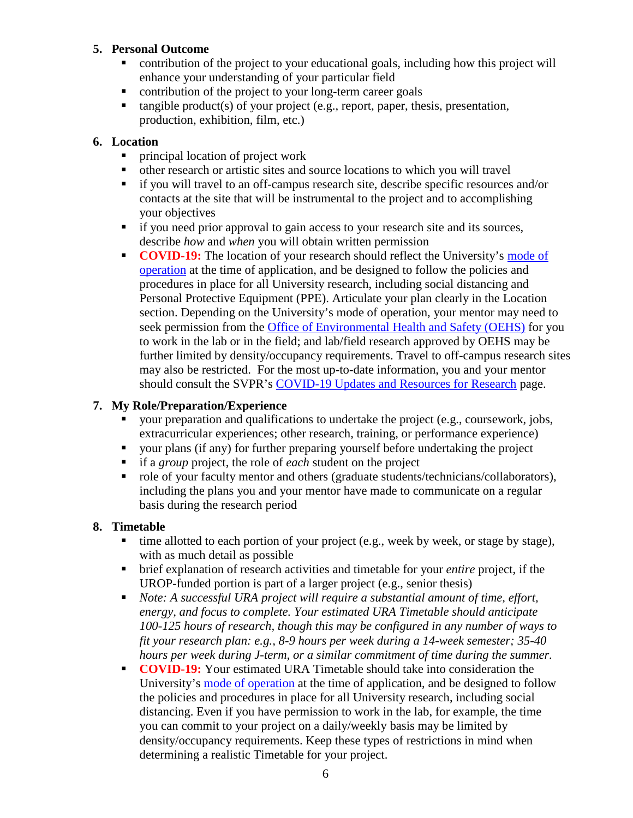#### **5. Personal Outcome**

- contribution of the project to your educational goals, including how this project will enhance your understanding of your particular field
- contribution of the project to your long-term career goals
- $\blacksquare$  tangible product(s) of your project (e.g., report, paper, thesis, presentation, production, exhibition, film, etc.)

### **6. Location**

- principal location of project work
- other research or artistic sites and source locations to which you will travel
- if you will travel to an off-campus research site, describe specific resources and/or contacts at the site that will be instrumental to the project and to accomplishing your objectives
- if you need prior approval to gain access to your research site and its sources, describe *how* and *when* you will obtain written permission
- **COVID-19:** The location of your research should reflect the University's mode of [operation](https://www.unh.edu/coronavirus) at the time of application, and be designed to follow the policies and procedures in place for all University research, including social distancing and Personal Protective Equipment (PPE). Articulate your plan clearly in the Location section. Depending on the University's mode of operation, your mentor may need to seek permission from the [Office of Environmental Health and Safety \(OEHS\)](https://www.unh.edu/research/ehs-covid-19-resources-updates) for you to work in the lab or in the field; and lab/field research approved by OEHS may be further limited by density/occupancy requirements. Travel to off-campus research sites may also be restricted. For the most up-to-date information, you and your mentor should consult the SVPR's [COVID-19 Updates and Resources for Research](https://www.unh.edu/research/research/covid-19-updates-resources) page.

## **7. My Role/Preparation/Experience**

- your preparation and qualifications to undertake the project (e.g., coursework, jobs, extracurricular experiences; other research, training, or performance experience)
- your plans (if any) for further preparing yourself before undertaking the project
- if a *group* project, the role of *each* student on the project
- role of your faculty mentor and others (graduate students/technicians/collaborators), including the plans you and your mentor have made to communicate on a regular basis during the research period

#### **8. Timetable**

- $\blacksquare$  time allotted to each portion of your project (e.g., week by week, or stage by stage), with as much detail as possible
- brief explanation of research activities and timetable for your *entire* project, if the UROP-funded portion is part of a larger project (e.g., senior thesis)
- *Note: A successful URA project will require a substantial amount of time, effort, energy, and focus to complete. Your estimated URA Timetable should anticipate 100-125 hours of research, though this may be configured in any number of ways to fit your research plan: e.g., 8-9 hours per week during a 14-week semester; 35-40 hours per week during J-term, or a similar commitment of time during the summer.*
- **COVID-19:** Your estimated URA Timetable should take into consideration the University's [mode of operation](https://www.unh.edu/coronavirus) at the time of application, and be designed to follow the policies and procedures in place for all University research, including social distancing. Even if you have permission to work in the lab, for example, the time you can commit to your project on a daily/weekly basis may be limited by density/occupancy requirements. Keep these types of restrictions in mind when determining a realistic Timetable for your project.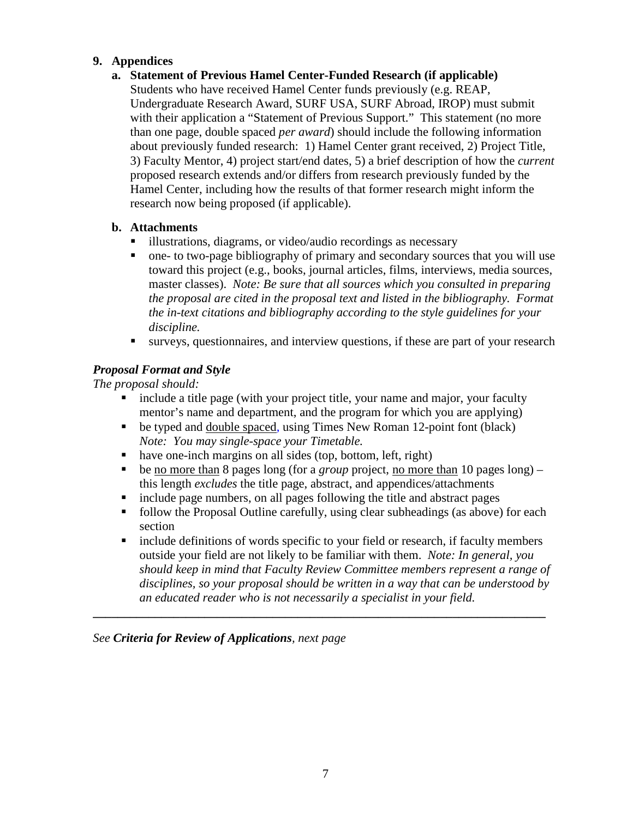#### **9. Appendices**

#### **a. Statement of Previous Hamel Center-Funded Research (if applicable)**

Students who have received Hamel Center funds previously (e.g. REAP, Undergraduate Research Award, SURF USA, SURF Abroad, IROP) must submit with their application a "Statement of Previous Support." This statement (no more than one page, double spaced *per award*) should include the following information about previously funded research: 1) Hamel Center grant received, 2) Project Title, 3) Faculty Mentor, 4) project start/end dates, 5) a brief description of how the *current* proposed research extends and/or differs from research previously funded by the Hamel Center, including how the results of that former research might inform the research now being proposed (if applicable).

#### **b. Attachments**

- illustrations, diagrams, or video/audio recordings as necessary
- one- to two-page bibliography of primary and secondary sources that you will use toward this project (e.g., books, journal articles, films, interviews, media sources, master classes). *Note: Be sure that all sources which you consulted in preparing the proposal are cited in the proposal text and listed in the bibliography. Format the in-text citations and bibliography according to the style guidelines for your discipline.*
- surveys, questionnaires, and interview questions, if these are part of your research

## *Proposal Format and Style*

*The proposal should:*

- include a title page (with your project title, your name and major, your faculty mentor's name and department, and the program for which you are applying)
- be typed and double spaced, using Times New Roman 12-point font (black) *Note: You may single-space your Timetable.*
- have one-inch margins on all sides (top, bottom, left, right)
- be no more than 8 pages long (for a *group* project, no more than 10 pages long) this length *excludes* the title page, abstract, and appendices/attachments
- include page numbers, on all pages following the title and abstract pages
- follow the Proposal Outline carefully, using clear subheadings (as above) for each section
- include definitions of words specific to your field or research, if faculty members outside your field are not likely to be familiar with them. *Note: In general, you should keep in mind that Faculty Review Committee members represent a range of disciplines, so your proposal should be written in a way that can be understood by an educated reader who is not necessarily a specialist in your field.*

**\_\_\_\_\_\_\_\_\_\_\_\_\_\_\_\_\_\_\_\_\_\_\_\_\_\_\_\_\_\_\_\_\_\_\_\_\_\_\_\_\_\_\_\_\_\_\_\_\_\_\_\_\_\_\_\_\_\_\_\_\_\_\_\_\_\_\_\_\_\_\_\_\_**

*See Criteria for Review of Applications, next page*